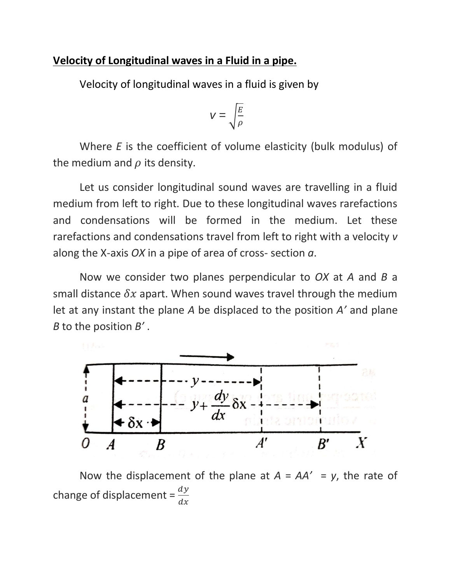## **Velocity of Longitudinal waves in a Fluid in a pipe.**

Velocity of longitudinal waves in a fluid is given by

$$
V = \sqrt{\frac{E}{\rho}}
$$

Where *E* is the coefficient of volume elasticity (bulk modulus) of the medium and  $\rho$  its density.

Let us consider longitudinal sound waves are travelling in a fluid medium from left to right. Due to these longitudinal waves rarefactions and condensations will be formed in the medium. Let these rarefactions and condensations travel from left to right with a velocity *v* along the X-axis *OX* in a pipe of area of cross- section *a*.

Now we consider two planes perpendicular to *OX* at *A* and *B* a small distance  $\delta x$  apart. When sound waves travel through the medium let at any instant the plane *A* be displaced to the position *A'* and plane *B* to the position *B'* .



Now the displacement of the plane at  $A = AA' = y$ , the rate of change of displacement =  $\frac{dy}{dx}$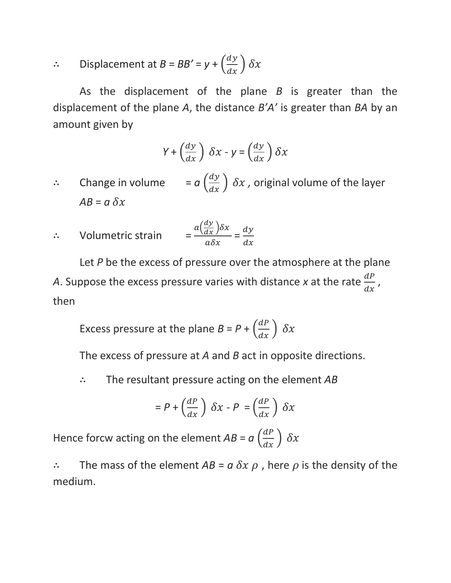$$
\therefore \qquad \text{Displacement at } B = BB' = y + \left(\frac{dy}{dx}\right)\delta x
$$

As the displacement of the plane *B* is greater than the displacement of the plane *A*, the distance *B'A'* is greater than *BA* by an amount given by

$$
Y + \left(\frac{dy}{dx}\right) \delta x - y = \left(\frac{dy}{dx}\right) \delta x
$$

- ∴ Change in volume  $a\left(\frac{dy}{dx}\right)$   $\delta x$  , original volume of the layer  $AB = a \, \delta x$
- ∴ Volumetric strain =  $a\left(\frac{dy}{dx}\right)\delta x$  $\frac{\frac{d}{dx} f(x)}{d\delta x} = \frac{dy}{dx}$  $dx$

Let *P* be the excess of pressure over the atmosphere at the plane A. Suppose the excess pressure varies with distance x at the rate  $\frac{dP}{dx}$ , then

Excess pressure at the plane  $B = P + \left(\frac{dP}{dx}\right) \delta x$ 

The excess of pressure at *A* and *B* act in opposite directions.

∴ The resultant pressure acting on the element *AB*

$$
= P + \left(\frac{dP}{dx}\right) \delta x - P = \left(\frac{dP}{dx}\right) \delta x
$$

Hence forcw acting on the element  $AB = a \left(\frac{dP}{dx}\right) \delta x$ 

∴ The mass of the element  $AB = a \, \delta x \, \rho$ , here  $\rho$  is the density of the medium.